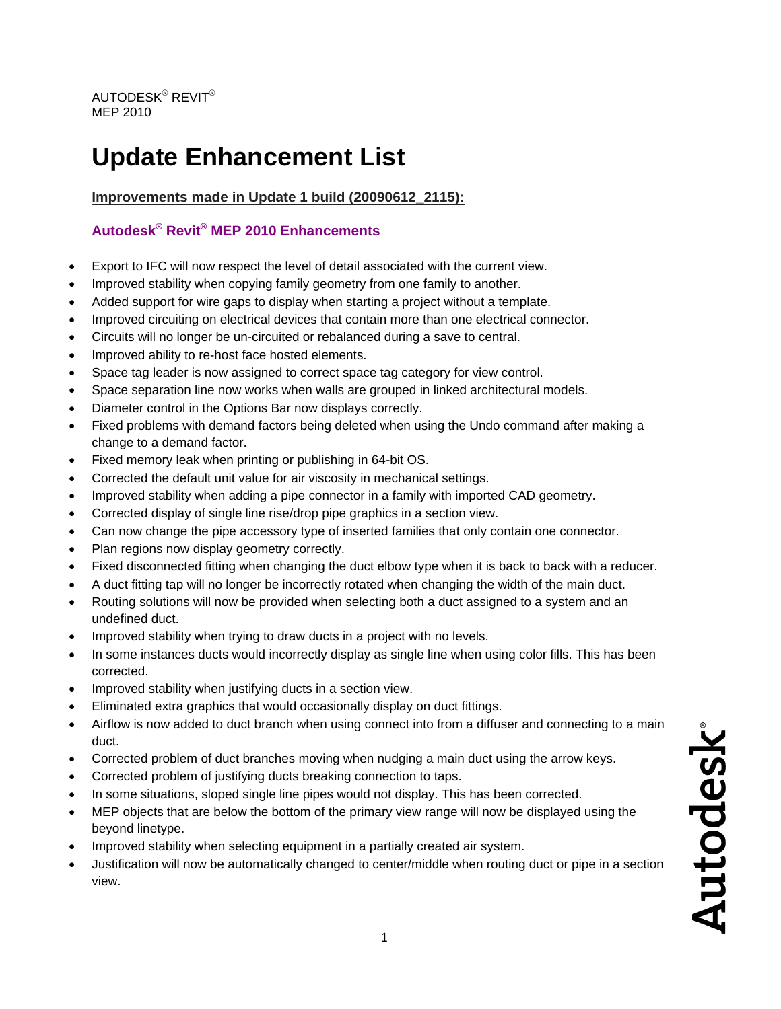# **Update Enhancement List**

**Improvements made in Update 1 build (20090612\_2115):**

## **Autodesk® Revit® MEP 2010 Enhancements**

- Export to IFC will now respect the level of detail associated with the current view.
- Improved stability when copying family geometry from one family to another.
- Added support for wire gaps to display when starting a project without a template.
- Improved circuiting on electrical devices that contain more than one electrical connector.
- Circuits will no longer be un-circuited or rebalanced during a save to central.
- Improved ability to re-host face hosted elements.
- Space tag leader is now assigned to correct space tag category for view control.
- Space separation line now works when walls are grouped in linked architectural models.
- Diameter control in the Options Bar now displays correctly.
- Fixed problems with demand factors being deleted when using the Undo command after making a change to a demand factor.
- Fixed memory leak when printing or publishing in 64-bit OS.
- Corrected the default unit value for air viscosity in mechanical settings.
- Improved stability when adding a pipe connector in a family with imported CAD geometry.
- Corrected display of single line rise/drop pipe graphics in a section view.
- Can now change the pipe accessory type of inserted families that only contain one connector.
- Plan regions now display geometry correctly.
- Fixed disconnected fitting when changing the duct elbow type when it is back to back with a reducer.
- A duct fitting tap will no longer be incorrectly rotated when changing the width of the main duct.
- Routing solutions will now be provided when selecting both a duct assigned to a system and an undefined duct.
- Improved stability when trying to draw ducts in a project with no levels.
- In some instances ducts would incorrectly display as single line when using color fills. This has been corrected.
- Improved stability when justifying ducts in a section view.
- Eliminated extra graphics that would occasionally display on duct fittings.
- Airflow is now added to duct branch when using connect into from a diffuser and connecting to a main duct.
- Corrected problem of duct branches moving when nudging a main duct using the arrow keys.
- Corrected problem of justifying ducts breaking connection to taps.
- In some situations, sloped single line pipes would not display. This has been corrected.
- MEP objects that are below the bottom of the primary view range will now be displayed using the beyond linetype.
- Improved stability when selecting equipment in a partially created air system.
- Justification will now be automatically changed to center/middle when routing duct or pipe in a section view.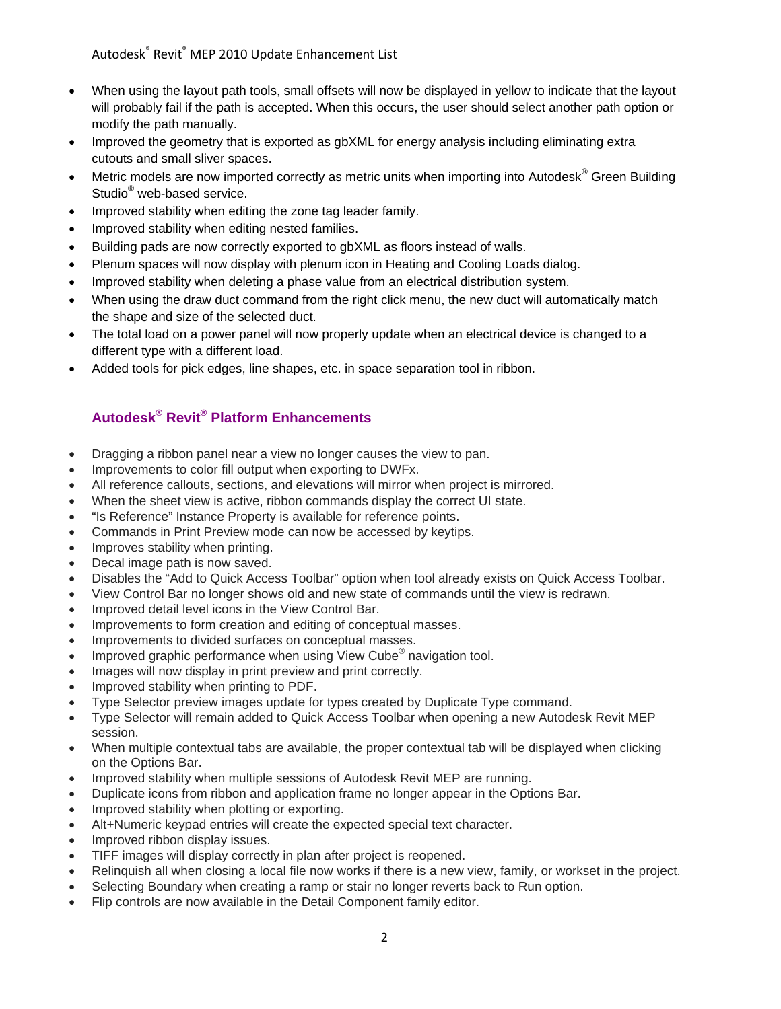Autodesk® Revit® MEP 2010 Update Enhancement List

- When using the layout path tools, small offsets will now be displayed in yellow to indicate that the layout will probably fail if the path is accepted. When this occurs, the user should select another path option or modify the path manually.
- Improved the geometry that is exported as gbXML for energy analysis including eliminating extra cutouts and small sliver spaces.
- Metric models are now imported correctly as metric units when importing into Autodesk® Green Building Studio<sup>®</sup> web-based service.
- Improved stability when editing the zone tag leader family.
- Improved stability when editing nested families.
- Building pads are now correctly exported to gbXML as floors instead of walls.
- Plenum spaces will now display with plenum icon in Heating and Cooling Loads dialog.
- Improved stability when deleting a phase value from an electrical distribution system.
- When using the draw duct command from the right click menu, the new duct will automatically match the shape and size of the selected duct.
- The total load on a power panel will now properly update when an electrical device is changed to a different type with a different load.
- Added tools for pick edges, line shapes, etc. in space separation tool in ribbon.

### **Autodesk® Revit® Platform Enhancements**

- Dragging a ribbon panel near a view no longer causes the view to pan.
- Improvements to color fill output when exporting to DWFx.
- All reference callouts, sections, and elevations will mirror when project is mirrored.
- When the sheet view is active, ribbon commands display the correct UI state.
- "Is Reference" Instance Property is available for reference points.
- Commands in Print Preview mode can now be accessed by keytips.
- Improves stability when printing.
- Decal image path is now saved.
- Disables the "Add to Quick Access Toolbar" option when tool already exists on Quick Access Tool bar.
- View Con trol Bar no longer shows old and new state of commands until the view is redrawn.
- Improved detail level icons in the View Control Bar.
- Improvements to form creation and editing of conceptual masses.
- Improvements to divided surfaces on conceptual masses.
- Improved graphic performance when using View Cube<sup>®</sup> navigation tool.
- Images will now display in print preview and print correctly.
- Improved stability when printing to PDF.
- Type Selector preview images update for types created by Duplicate Type command.
- Type Selector will remain added to Quick Access Toolbar when opening a new Autodesk Revit MEP session.
- When multiple contextual tabs are available, the proper contextual tab will be displayed when clicking on the Options Bar.
- Improved stability when multiple sessions of Autodesk Revit MEP are running.
- Duplicate icons from ribbon and application frame no longer appear in the Options Bar.
- Improved stability when plotting or exporting.
- Alt+Numeric keypad entries will create the expected special text character.
- Improved ribbon display issues.
- TIFF images will display correctly in plan after project is reopened.
- Relinquish all when closing a local file now works if there is a new view, family, or workset in the project.
- Selecting Boundary when creating a ramp or stair no longer reverts back to Run option.
- Flip controls are now available in the Detail Component family editor.